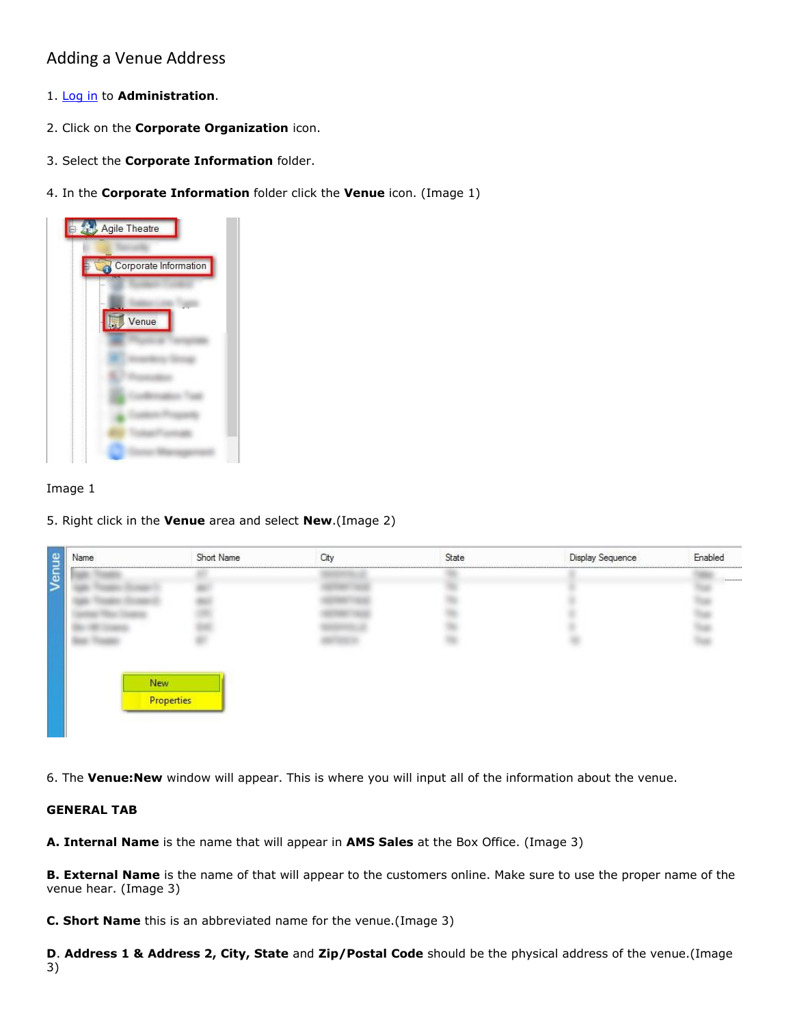# Adding a Venue Address

- 1. [Log in](https://agiletix.zendesk.com/hc/en-us/articles/200617005-Log-In) to **Administration**.
- 2. Click on the **Corporate Organization** icon.
- 3. Select the **Corporate Information** folder.
- 4. In the **Corporate Information** folder click the **Venue** icon. (Image 1)



#### Image 1

5. Right click in the **Venue** area and select **New**.(Image 2)

| Name | Short Name | City                        | State | Display Sequence | Enabled |
|------|------------|-----------------------------|-------|------------------|---------|
|      |            | ,,,,,,,,,,,,,,,,,,,,,,,,,,, |       |                  |         |
|      |            |                             |       |                  |         |
|      |            |                             |       |                  |         |
|      |            |                             |       |                  |         |
|      |            |                             |       |                  |         |
|      |            |                             |       |                  |         |
|      |            |                             |       |                  |         |
|      |            |                             |       |                  |         |
| New  |            |                             |       |                  |         |
|      | Properties |                             |       |                  |         |

6. The **Venue:New** window will appear. This is where you will input all of the information about the venue.

#### **GENERAL TAB**

**A. Internal Name** is the name that will appear in **AMS Sales** at the Box Office. (Image 3)

**B. External Name** is the name of that will appear to the customers online. Make sure to use the proper name of the venue hear. (Image 3)

**C. Short Name** this is an abbreviated name for the venue.(Image 3)

**D**. **Address 1 & Address 2, City, State** and **Zip/Postal Code** should be the physical address of the venue.(Image 3)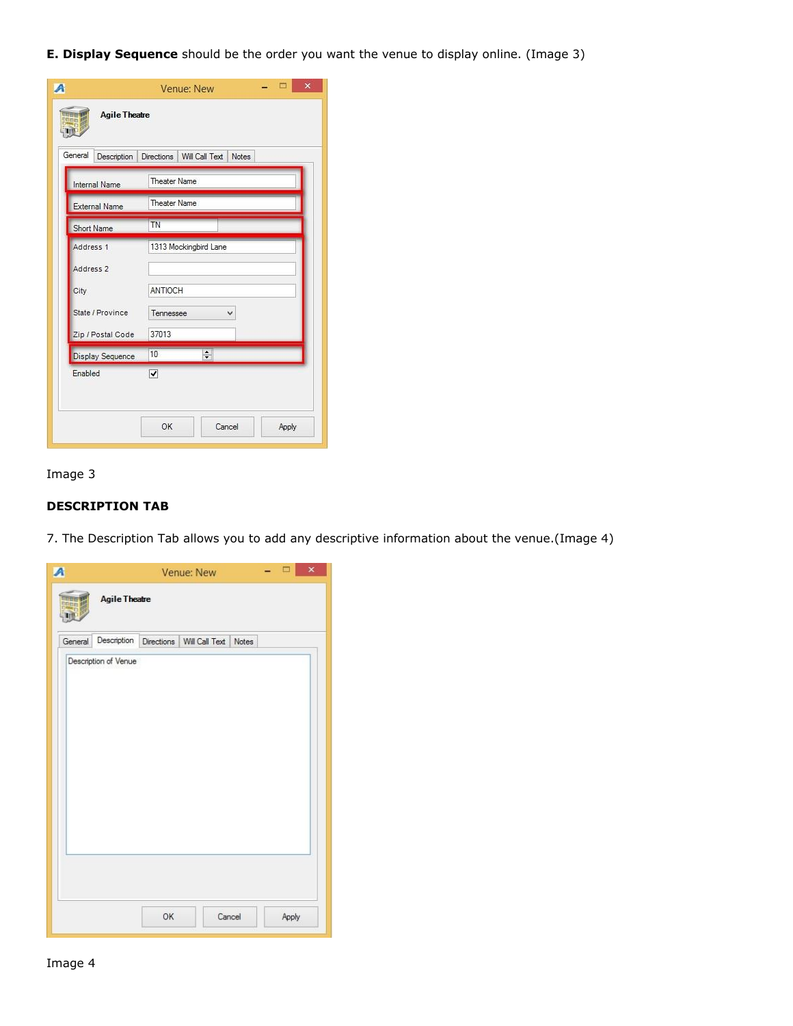**E. Display Sequence** should be the order you want the venue to display online. (Image 3)

|                         | $\mathsf{x}$<br>Venue: New                |  |  |  |  |
|-------------------------|-------------------------------------------|--|--|--|--|
| <b>Agile Theatre</b>    |                                           |  |  |  |  |
| General<br>Description  | Directions Will Call Text<br><b>Notes</b> |  |  |  |  |
| Internal Name           | <b>Theater Name</b>                       |  |  |  |  |
| <b>External Name</b>    | <b>Theater Name</b>                       |  |  |  |  |
| Short Name              | <b>TN</b>                                 |  |  |  |  |
| Address 1               | 1313 Mockingbird Lane                     |  |  |  |  |
| Address <sub>2</sub>    |                                           |  |  |  |  |
| City                    | ANTIOCH                                   |  |  |  |  |
| State / Province        | Tennessee<br>v                            |  |  |  |  |
| Zip / Postal Code       | 37013                                     |  |  |  |  |
| <b>Display Sequence</b> | $\div$<br>10                              |  |  |  |  |
| Enabled                 | $\overline{\mathbf{v}}$                   |  |  |  |  |
|                         |                                           |  |  |  |  |
|                         | OK<br>Cancel<br>Apply                     |  |  |  |  |

# Image 3

# **DESCRIPTION TAB**

7. The Description Tab allows you to add any descriptive information about the venue.(Image 4)

| A       |                      | Venue: New |                                                 |  |  | $\times$ |
|---------|----------------------|------------|-------------------------------------------------|--|--|----------|
|         | <b>Agile Theatre</b> |            |                                                 |  |  |          |
| General |                      |            | Description Directions   Will Call Text   Notes |  |  |          |
|         | Description of Venue |            |                                                 |  |  |          |
|         |                      | OK         | Cancel                                          |  |  | Apply    |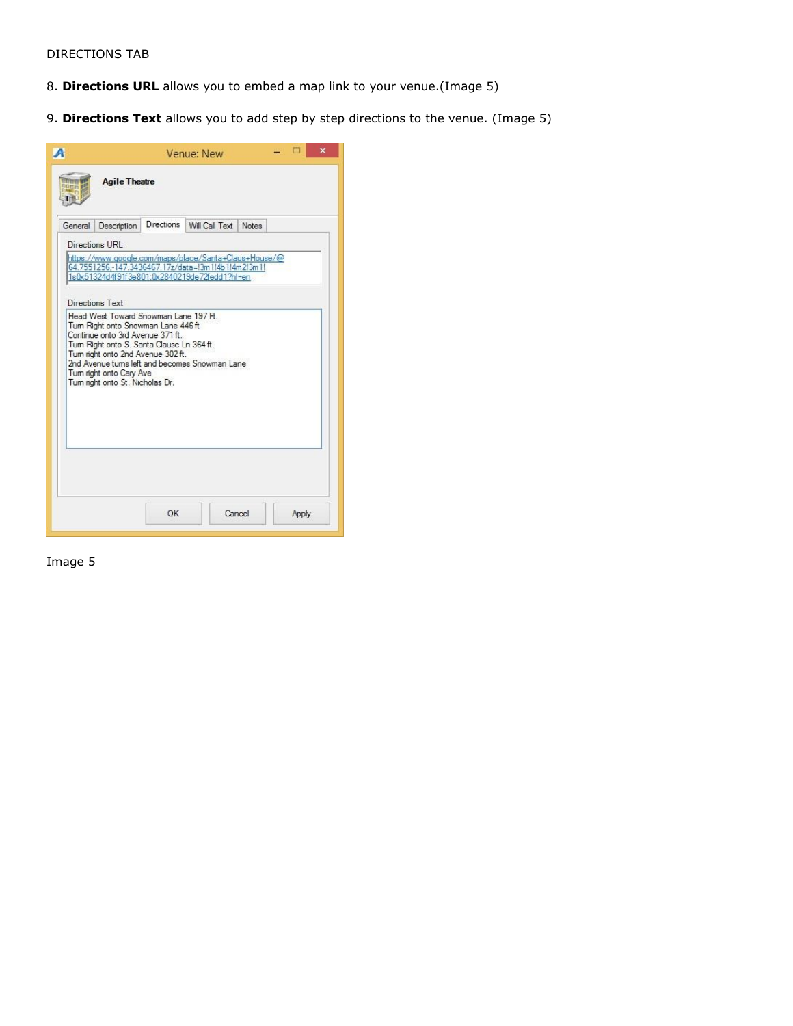#### DIRECTIONS TAB

- 8. **Directions URL** allows you to embed a map link to your venue.(Image 5)
- 9. **Directions Text** allows you to add step by step directions to the venue. (Image 5)

|         |                                                                                                                                                                                                                                                                                                                                                                                                                                            | Venue: New |                      |  |  | × |  |
|---------|--------------------------------------------------------------------------------------------------------------------------------------------------------------------------------------------------------------------------------------------------------------------------------------------------------------------------------------------------------------------------------------------------------------------------------------------|------------|----------------------|--|--|---|--|
|         | <b>Agile Theatre</b>                                                                                                                                                                                                                                                                                                                                                                                                                       |            |                      |  |  |   |  |
| General | Description                                                                                                                                                                                                                                                                                                                                                                                                                                | Directions | Will Call Text Notes |  |  |   |  |
|         | Directions URL                                                                                                                                                                                                                                                                                                                                                                                                                             |            |                      |  |  |   |  |
|         | 64.7551256,-147.3436467,17z/data=l3m1!4b1!4m2!3m1!<br>1s0x51324d4f91f3e801:0x2840219de72fedd1?hl=en<br>Directions Text<br>Head West Toward Snowman Lane 197 Pt.<br>Tum Right onto Snowman Lane 446 ft<br>Continue onto 3rd Avenue 371 ft.<br>Tum Right onto S. Santa Clause Ln 364 ft.<br>Tum right onto 2nd Avenue 302 ft.<br>2nd Avenue tums left and becomes Snowman Lane<br>Tum right onto Cary Ave<br>Tum right onto St. Nicholas Dr. |            |                      |  |  |   |  |
|         |                                                                                                                                                                                                                                                                                                                                                                                                                                            |            |                      |  |  |   |  |

Image 5